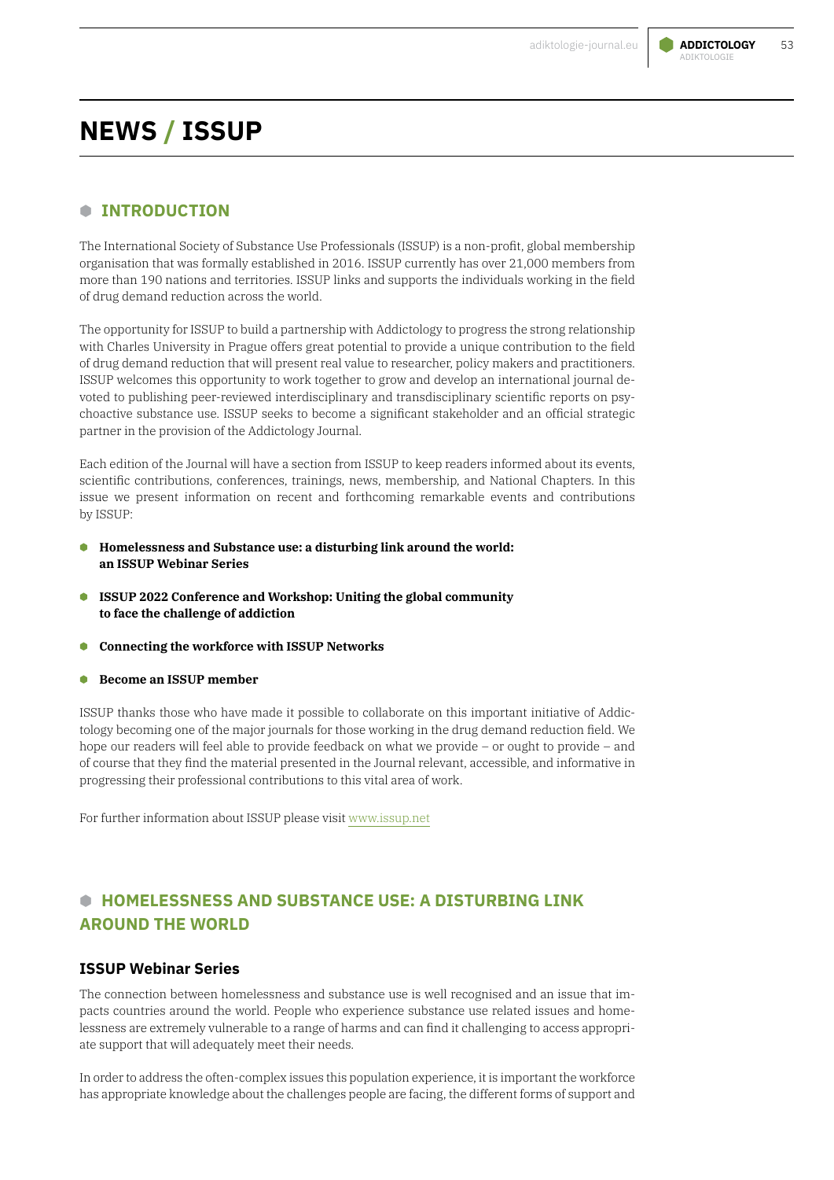

## **B INTRODUCTION**

The International Society of Substance Use Professionals (ISSUP) is a non-profit, global membership organisation that was formally established in 2016. ISSUP currently has over 21,000 members from more than 190 nations and territories. ISSUP links and supports the individuals working in the field of drug demand reduction across the world.

The opportunity for ISSUP to build a partnership with Addictology to progress the strong relationship with Charles University in Prague offers great potential to provide a unique contribution to the field of drug demand reduction that will present real value to researcher, policy makers and practitioners. ISSUP welcomes this opportunity to work together to grow and develop an international journal devoted to publishing peer-reviewed interdisciplinary and transdisciplinary scientific reports on psychoactive substance use. ISSUP seeks to become a significant stakeholder and an official strategic partner in the provision of the Addictology Journal.

Each edition of the Journal will have a section from ISSUP to keep readers informed about its events, scientific contributions, conferences, trainings, news, membership, and National Chapters. In this issue we present information on recent and forthcoming remarkable events and contributions by ISSUP:

- **B Homelessness and Substance use: a disturbing link around the world: an ISSUP Webinar Series**
- **B ISSUP 2022 Conference and Workshop: Uniting the global community to face the challenge of addiction**
- **B Connecting the workforce with ISSUP Networks**
- **B Become an ISSUP member**

ISSUP thanks those who have made it possible to collaborate on this important initiative of Addictology becoming one of the major journals for those working in the drug demand reduction field. We hope our readers will feel able to provide feedback on what we provide – or ought to provide – and of course that they find the material presented in the Journal relevant, accessible, and informative in progressing their professional contributions to this vital area of work.

For further information about ISSUP please visit [www.issup.net](http://www.issup.net)

# **B HOMELESSNESS AND SUBSTANCE USE: A DISTURBING LINK AROUND THE WORLD**

#### **ISSUP Webinar Series**

The connection between homelessness and substance use is well recognised and an issue that impacts countries around the world. People who experience substance use related issues and homelessness are extremely vulnerable to a range of harms and can find it challenging to access appropriate support that will adequately meet their needs.

In order to address the often-complex issues this population experience, it is important the workforce has appropriate knowledge about the challenges people are facing, the different forms of support and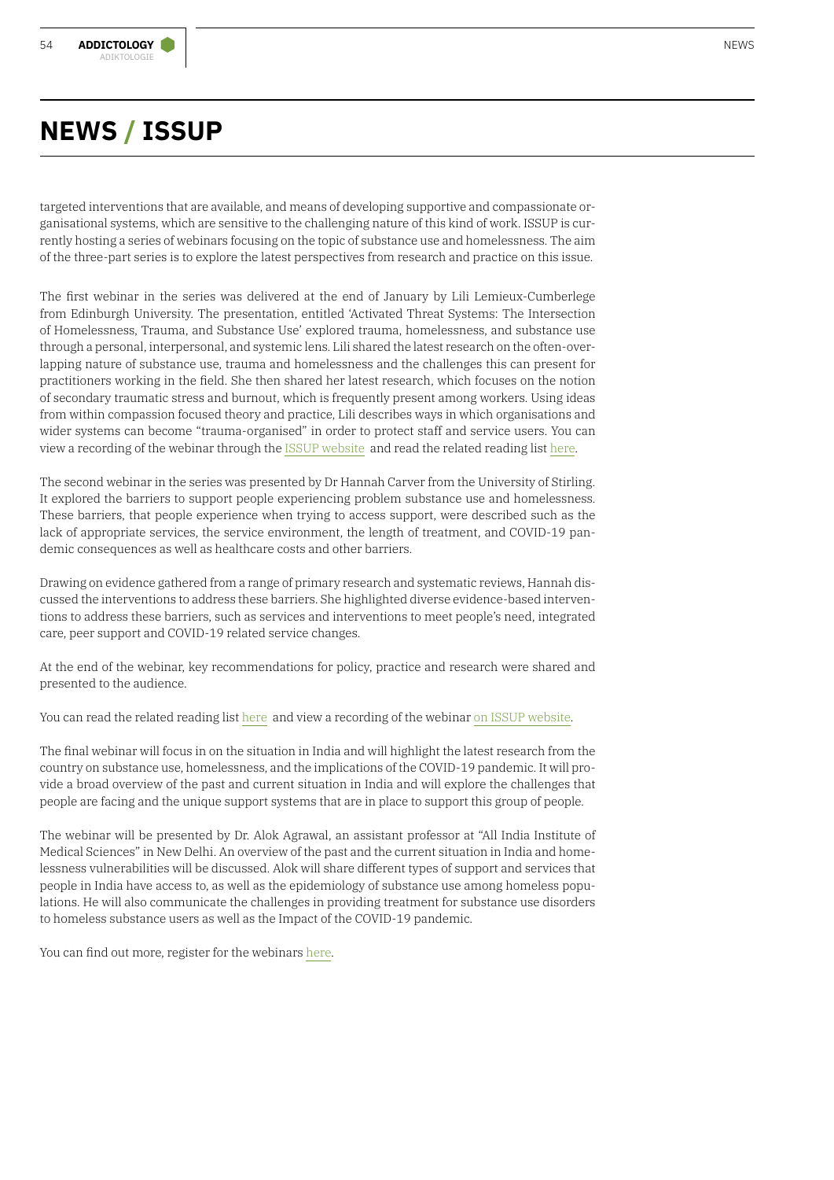targeted interventions that are available, and means of developing supportive and compassionate organisational systems, which are sensitive to the challenging nature of this kind of work. ISSUP is currently hosting a series of webinars focusing on the topic of substance use and homelessness. The aim of the three-part series is to explore the latest perspectives from research and practice on this issue.

The first webinar in the series was delivered at the end of January by Lili Lemieux-Cumberlege from Edinburgh University. The presentation, entitled 'Activated Threat Systems: The Intersection of Homelessness, Trauma, and Substance Use' explored trauma, homelessness, and substance use through a personal, interpersonal, and systemic lens. Lili shared the latest research on the often-overlapping nature of substance use, trauma and homelessness and the challenges this can present for practitioners working in the field. She then shared her latest research, which focuses on the notion of secondary traumatic stress and burnout, which is frequently present among workers. Using ideas from within compassion focused theory and practice, Lili describes ways in which organisations and wider systems can become "trauma-organised" in order to protect staff and service users. You can view a recording of the webinar through the [ISSUP website](https://www.issup.net/knowledge-share/resources/2022-01/activated-threat-systems-intersection-homelessness-trauma-and) and read the related reading list [here](https://www.issup.net/knowledge-share/resources/2022-01/intersection-homelessness-trauma-and-substance-use-additional).

The second webinar in the series was presented by Dr Hannah Carver from the University of Stirling. It explored the barriers to support people experiencing problem substance use and homelessness. These barriers, that people experience when trying to access support, were described such as the lack of appropriate services, the service environment, the length of treatment, and COVID-19 pandemic consequences as well as healthcare costs and other barriers.

Drawing on evidence gathered from a range of primary research and systematic reviews, Hannah discussed the interventions to address these barriers. She highlighted diverse evidence-based interventions to address these barriers, such as services and interventions to meet people's need, integrated care, peer support and COVID-19 related service changes.

At the end of the webinar, key recommendations for policy, practice and research were shared and presented to the audience.

You can read the related reading list [here](https://www.issup.net/knowledge-share/resources/2022-02/barriers-support-people-experiencing-problem-substance-use-and) and view a recording of the webinar [on ISSUP website.](https://www.issup.net/knowledge-share/resources/2022-01/barriers-support-people-experiencing-problem-substance-use-and) 

The final webinar will focus in on the situation in India and will highlight the latest research from the country on substance use, homelessness, and the implications of the COVID-19 pandemic. It will provide a broad overview of the past and current situation in India and will explore the challenges that people are facing and the unique support systems that are in place to support this group of people.

The webinar will be presented by Dr. Alok Agrawal, an assistant professor at "All India Institute of Medical Sciences" in New Delhi. An overview of the past and the current situation in India and homelessness vulnerabilities will be discussed. Alok will share different types of support and services that people in India have access to, as well as the epidemiology of substance use among homeless populations. He will also communicate the challenges in providing treatment for substance use disorders to homeless substance users as well as the Impact of the COVID-19 pandemic.

You can find out more, register for the webinars [here](https://www.issup.net/training/issup-webinars).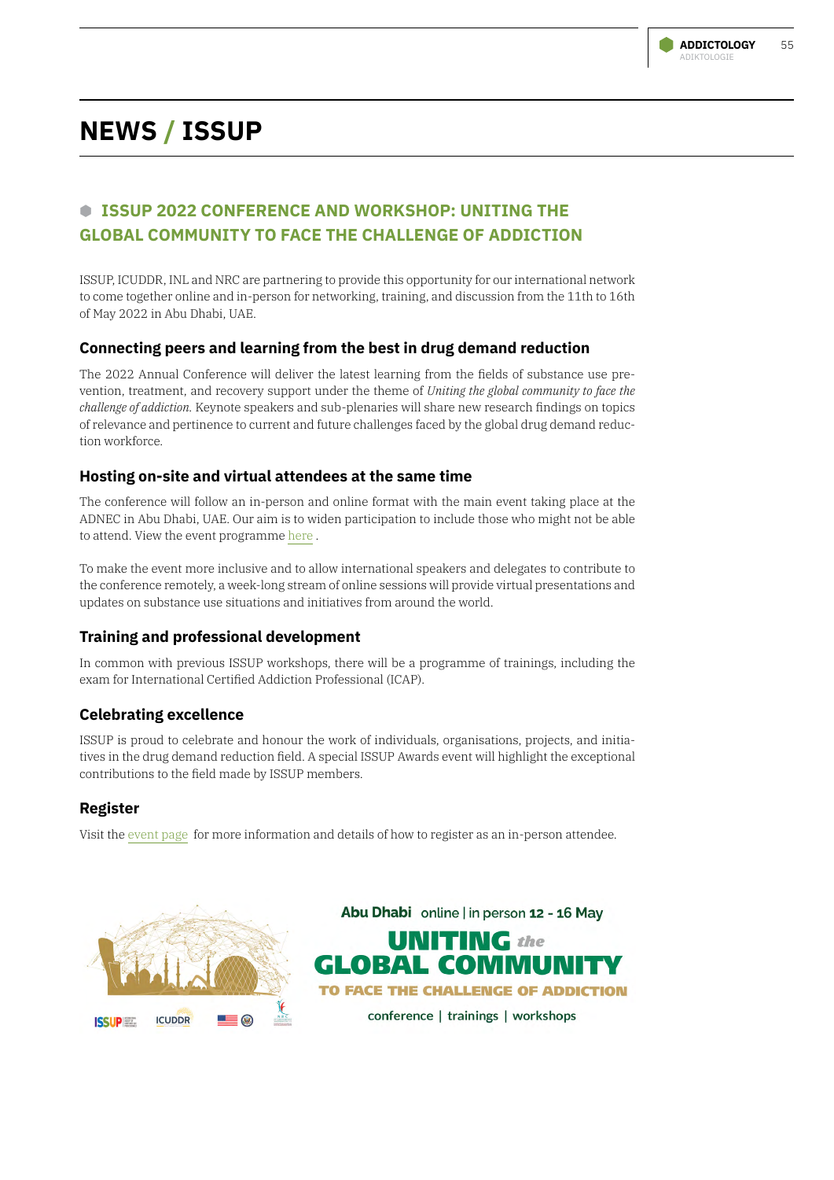

# **B ISSUP 2022 CONFERENCE AND WORKSHOP: UNITING THE GLOBAL COMMUNITY TO FACE THE CHALLENGE OF ADDICTION**

ISSUP, ICUDDR, INL and NRC are partnering to provide this opportunity for our international network to come together online and in-person for networking, training, and discussion from the 11th to 16th of May 2022 in Abu Dhabi, UAE.

### **Connecting peers and learning from the best in drug demand reduction**

The 2022 Annual Conference will deliver the latest learning from the fields of substance use prevention, treatment, and recovery support under the theme of *Uniting the global community to face the challenge of addiction.* Keynote speakers and sub-plenaries will share new research findings on topics of relevance and pertinence to current and future challenges faced by the global drug demand reduction workforce.

### **Hosting on-site and virtual attendees at the same time**

The conference will follow an in-person and online format with the main event taking place at the ADNEC in Abu Dhabi, UAE. Our aim is to widen participation to include those who might not be able to attend. View the event programme [here](https://www.issup.net/about-issup/issup-workshops/abu-dhabi-2022/programme) .

To make the event more inclusive and to allow international speakers and delegates to contribute to the conference remotely, a week-long stream of online sessions will provide virtual presentations and updates on substance use situations and initiatives from around the world.

## **Training and professional development**

In common with previous ISSUP workshops, there will be a programme of trainings, including the exam for International Certified Addiction Professional (ICAP).

## **Celebrating excellence**

ISSUP is proud to celebrate and honour the work of individuals, organisations, projects, and initiatives in the drug demand reduction field. A special ISSUP Awards event will highlight the exceptional contributions to the field made by ISSUP members.

## **Register**

Visit the [event page](https://www.issup.net/about-issup/workshops/abu-dhabi-2022/registration) for more information and details of how to register as an in-person attendee.



Abu Dhabi online | in person 12 - 16 May **UNITING** the **GLOBAL COMMUNITY** TO FACE THE CHALLENGE OF ADDICTION conference | trainings | workshops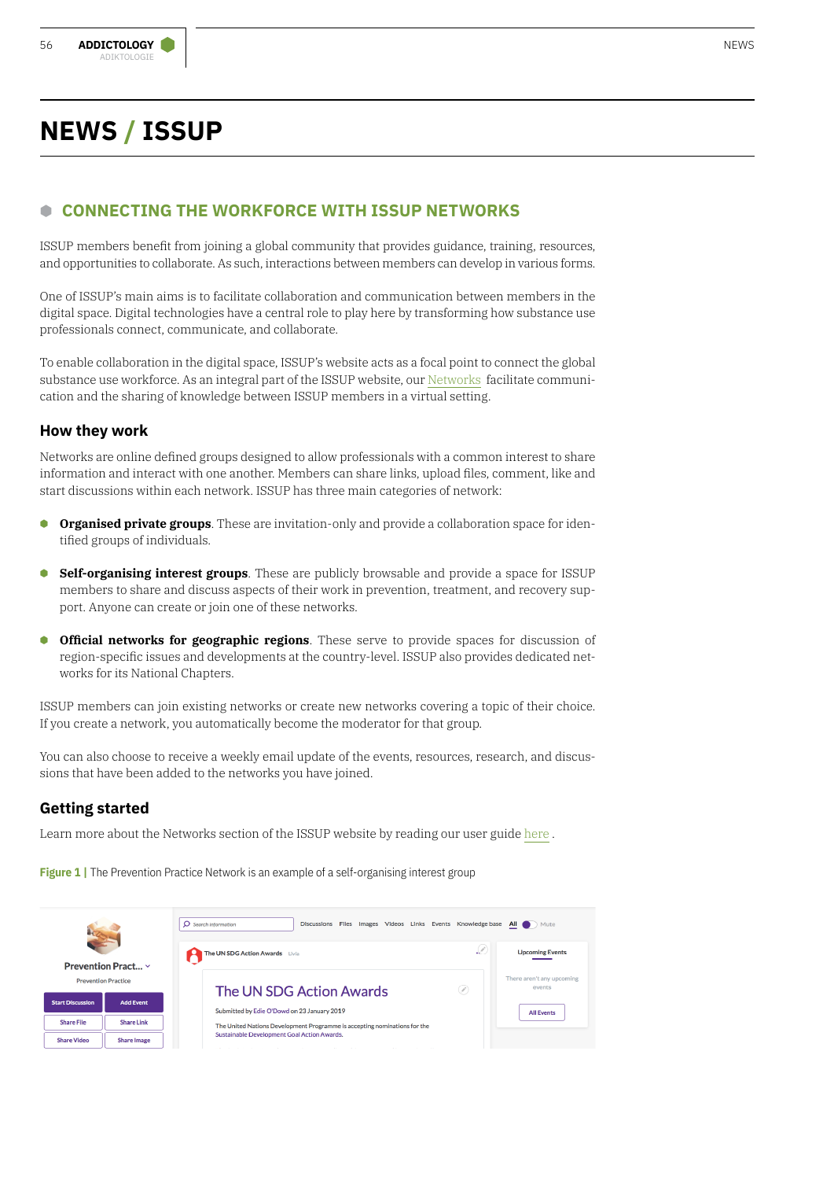# **B CONNECTING THE WORKFORCE WITH ISSUP NETWORKS**

ISSUP members benefit from joining a global community that provides guidance, training, resources, and opportunities to collaborate. As such, interactions between members can develop in various forms.

One of ISSUP's main aims is to facilitate collaboration and communication between members in the digital space. Digital technologies have a central role to play here by transforming how substance use professionals connect, communicate, and collaborate.

To enable collaboration in the digital space, ISSUP's website acts as a focal point to connect the global substance use workforce. As an integral part of the ISSUP website, our [Networks](https://www.issup.net/networks) facilitate communication and the sharing of knowledge between ISSUP members in a virtual setting.

### **How they work**

Networks are online defined groups designed to allow professionals with a common interest to share information and interact with one another. Members can share links, upload files, comment, like and start discussions within each network. ISSUP has three main categories of network:

- **Organised private groups**. These are invitation-only and provide a collaboration space for identified groups of individuals.
- **B Self-organising interest groups**. These are publicly browsable and provide a space for ISSUP members to share and discuss aspects of their work in prevention, treatment, and recovery support. Anyone can create or join one of these networks.
- **Cofficial networks for geographic regions**. These serve to provide spaces for discussion of region-specific issues and developments at the country-level. ISSUP also provides dedicated networks for its National Chapters.

ISSUP members can join existing networks or create new networks covering a topic of their choice. If you create a network, you automatically become the moderator for that group.

You can also choose to receive a weekly email update of the events, resources, research, and discussions that have been added to the networks you have joined.

## **Getting started**

Learn more about the Networks section of the ISSUP website by reading our user guide [here](https://www.issup.net/about-issup/issup-website-guides/guide-using-networks) .

**Figure 1** | The Prevention Practice Network is an example of a self-organising interest group

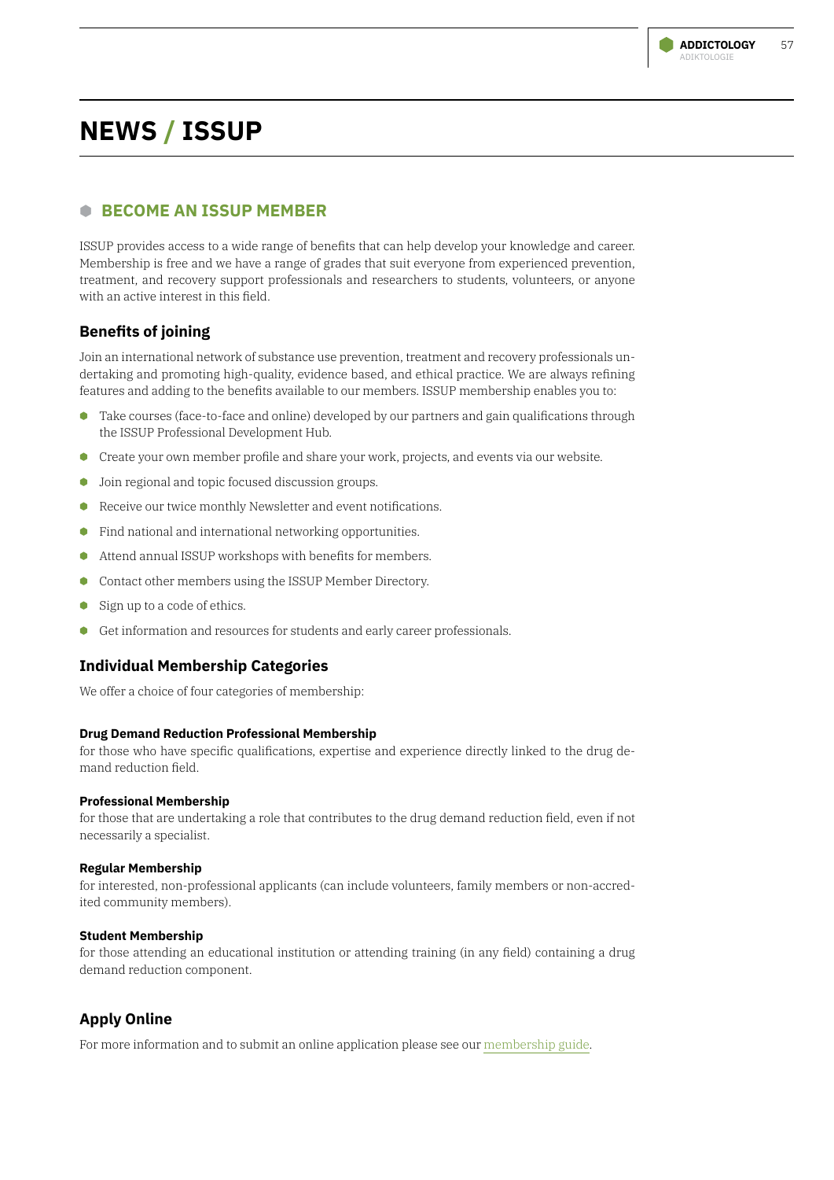# **B BECOME AN ISSUP MEMBER**

ISSUP provides access to a wide range of benefits that can help develop your knowledge and career. Membership is free and we have a range of grades that suit everyone from experienced prevention, treatment, and recovery support professionals and researchers to students, volunteers, or anyone with an active interest in this field.

# **Benefits of joining**

Join an international network of substance use prevention, treatment and recovery professionals undertaking and promoting high-quality, evidence based, and ethical practice. We are always refining features and adding to the benefits available to our members. ISSUP membership enables you to:

- **C** Take courses (face-to-face and online) developed by our partners and gain qualifications through the ISSUP Professional Development Hub.
- **B** Create your own member profile and share your work, projects, and events via our website.
- $\bullet$  Join regional and topic focused discussion groups.
- **•** Receive our twice monthly Newsletter and event notifications.
- **C** Find national and international networking opportunities.
- **B** Attend annual ISSUP workshops with benefits for members.
- **Contact other members using the ISSUP Member Directory.**
- **B** Sign up to a code of ethics.
- **B** Get information and resources for students and early career professionals.

## **Individual Membership Categories**

We offer a choice of four categories of membership:

#### **Drug Demand Reduction Professional Membership**

for those who have specific qualifications, expertise and experience directly linked to the drug demand reduction field.

#### **Professional Membership**

for those that are undertaking a role that contributes to the drug demand reduction field, even if not necessarily a specialist.

#### **Regular Membership**

for interested, non-professional applicants (can include volunteers, family members or non-accredited community members).

#### **Student Membership**

for those attending an educational institution or attending training (in any field) containing a drug demand reduction component.

## **Apply Online**

For more information and to submit an online application please see our [membership guide.](https://www.issup.net/about-issup/membership)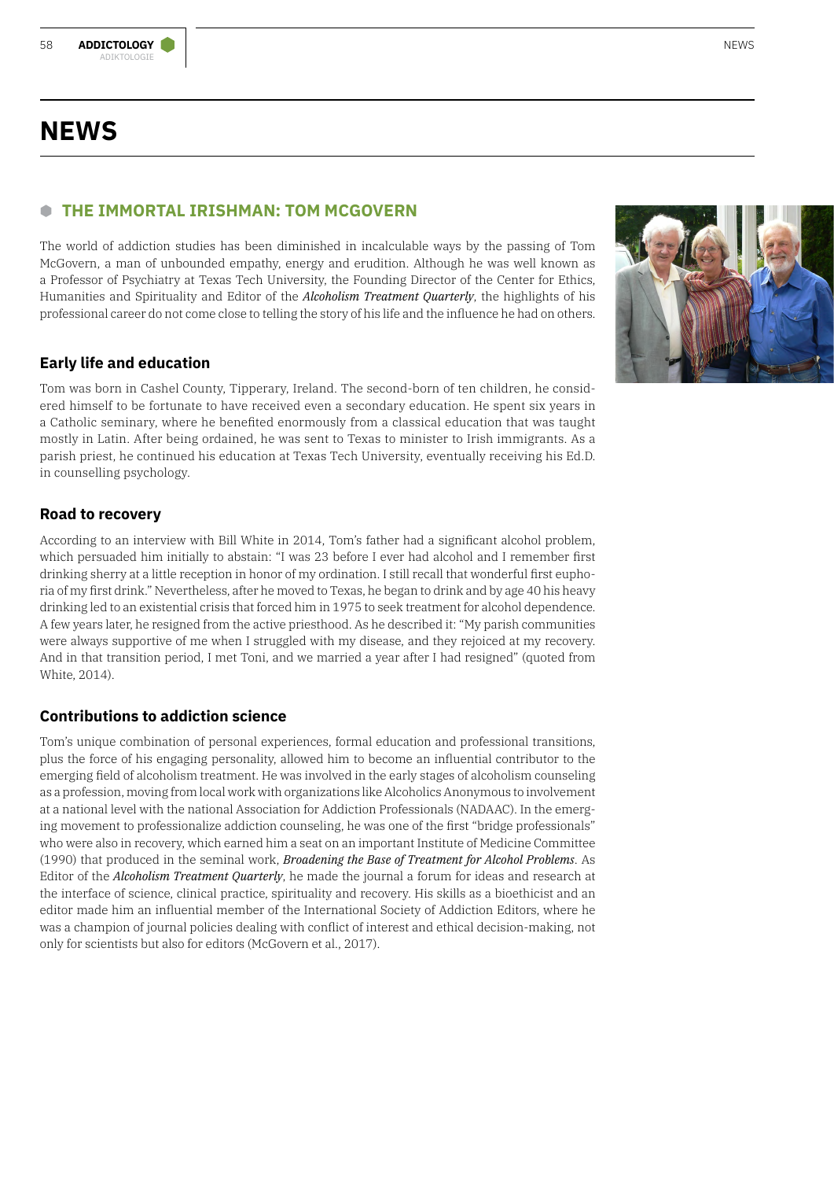# **NEWS**

# **B THE IMMORTAL IRISHMAN: TOM MCGOVERN**

The world of addiction studies has been diminished in incalculable ways by the passing of Tom McGovern, a man of unbounded empathy, energy and erudition. Although he was well known as a Professor of Psychiatry at Texas Tech University, the Founding Director of the Center for Ethics, Humanities and Spirituality and Editor of the *Alcoholism Treatment Quarterly*, the highlights of his professional career do not come close to telling the story of his life and the influence he had on others.

# **Early life and education**

Tom was born in Cashel County, Tipperary, Ireland. The second-born of ten children, he considered himself to be fortunate to have received even a secondary education. He spent six years in a Catholic seminary, where he benefited enormously from a classical education that was taught mostly in Latin. After being ordained, he was sent to Texas to minister to Irish immigrants. As a parish priest, he continued his education at Texas Tech University, eventually receiving his Ed.D. in counselling psychology.

# **Road to recovery**

According to an interview with Bill White in 2014, Tom's father had a significant alcohol problem, which persuaded him initially to abstain: "I was 23 before I ever had alcohol and I remember first drinking sherry at a little reception in honor of my ordination. I still recall that wonderful first euphoria of my first drink." Nevertheless, after he moved to Texas, he began to drink and by age 40 his heavy drinking led to an existential crisis that forced him in 1975 to seek treatment for alcohol dependence. A few years later, he resigned from the active priesthood. As he described it: "My parish communities were always supportive of me when I struggled with my disease, and they rejoiced at my recovery. And in that transition period, I met Toni, and we married a year after I had resigned" (quoted from White, 2014).

# **Contributions to addiction science**

Tom's unique combination of personal experiences, formal education and professional transitions, plus the force of his engaging personality, allowed him to become an influential contributor to the emerging field of alcoholism treatment. He was involved in the early stages of alcoholism counseling as a profession, moving from local work with organizations like Alcoholics Anonymous to involvement at a national level with the national Association for Addiction Professionals (NADAAC). In the emerging movement to professionalize addiction counseling, he was one of the first "bridge professionals" who were also in recovery, which earned him a seat on an important Institute of Medicine Committee (1990) that produced in the seminal work, *Broadening the Base of Treatment for Alcohol Problems*. As Editor of the *Alcoholism Treatment Quarterly*, he made the journal a forum for ideas and research at the interface of science, clinical practice, spirituality and recovery. His skills as a bioethicist and an editor made him an influential member of the International Society of Addiction Editors, where he was a champion of journal policies dealing with conflict of interest and ethical decision-making, not only for scientists but also for editors (McGovern et al., 2017).

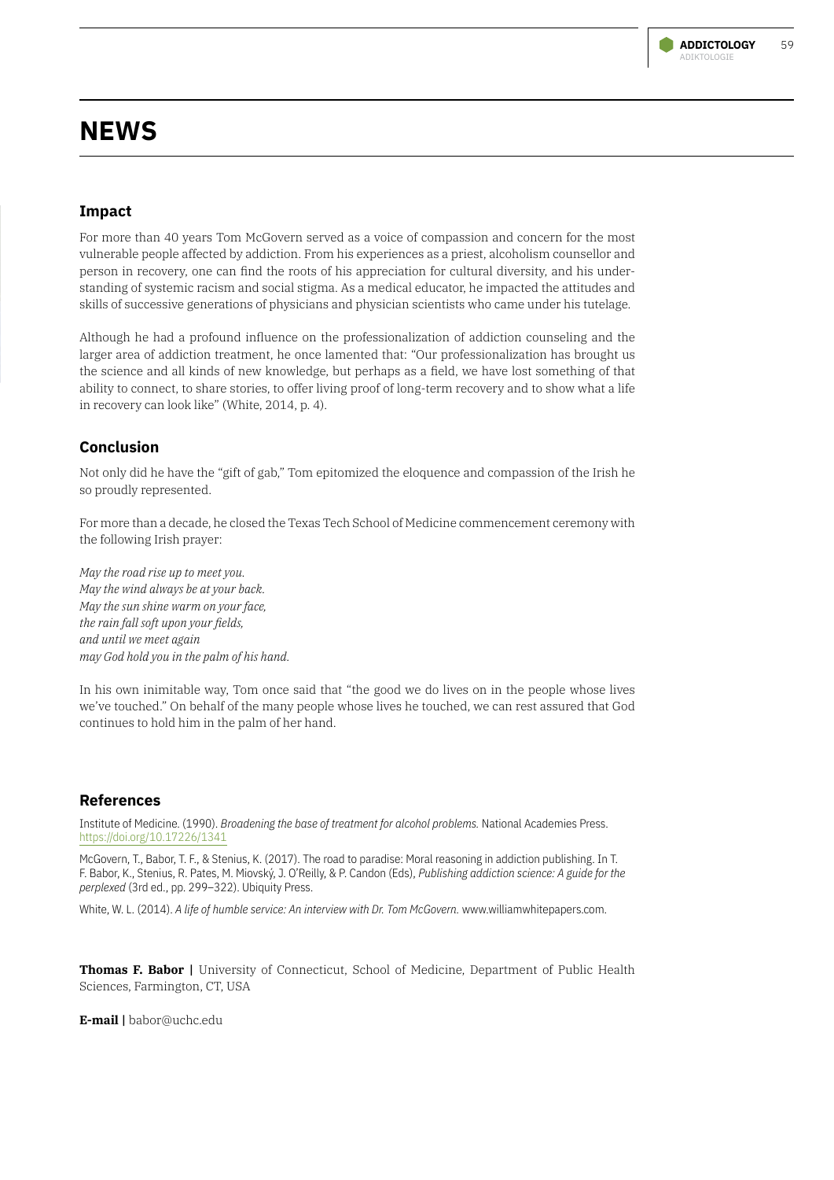

# **NEWS**

### **Impact**

For more than 40 years Tom McGovern served as a voice of compassion and concern for the most vulnerable people affected by addiction. From his experiences as a priest, alcoholism counsellor and person in recovery, one can find the roots of his appreciation for cultural diversity, and his understanding of systemic racism and social stigma. As a medical educator, he impacted the attitudes and skills of successive generations of physicians and physician scientists who came under his tutelage.

Although he had a profound influence on the professionalization of addiction counseling and the larger area of addiction treatment, he once lamented that: "Our professionalization has brought us the science and all kinds of new knowledge, but perhaps as a field, we have lost something of that ability to connect, to share stories, to offer living proof of long-term recovery and to show what a life in recovery can look like" (White, 2014, p. 4).

### **Conclusion**

Not only did he have the "gift of gab," Tom epitomized the eloquence and compassion of the Irish he so proudly represented.

For more than a decade, he closed the Texas Tech School of Medicine commencement ceremony with the following Irish prayer:

*May the road rise up to meet you. May the wind always be at your back. May the sun shine warm on your face, the rain fall soft upon your fields, and until we meet again may God hold you in the palm of his hand.*

In his own inimitable way, Tom once said that "the good we do lives on in the people whose lives we've touched." On behalf of the many people whose lives he touched, we can rest assured that God continues to hold him in the palm of her hand.

### **References**

Institute of Medicine. (1990). *Broadening the base of treatment for alcohol problems.* National Academies Press. <https://doi.org/10.17226/1341>

McGovern, T., Babor, T. F., & Stenius, K. (2017). The road to paradise: Moral reasoning in addiction publishing. In T. F. Babor, K., Stenius, R. Pates, M. Miovský, J. O'Reilly, & P. Candon (Eds), *Publishing addiction science: A guide for the perplexed* (3rd ed., pp. 299–322). Ubiquity Press.

White, W. L. (2014). *A life of humble service: An interview with Dr. Tom McGovern.* www.williamwhitepapers.com.

**Thomas F. Babor |** University of Connecticut, School of Medicine, Department of Public Health Sciences, Farmington, CT, USA

**E-mail |** babor@uchc.edu